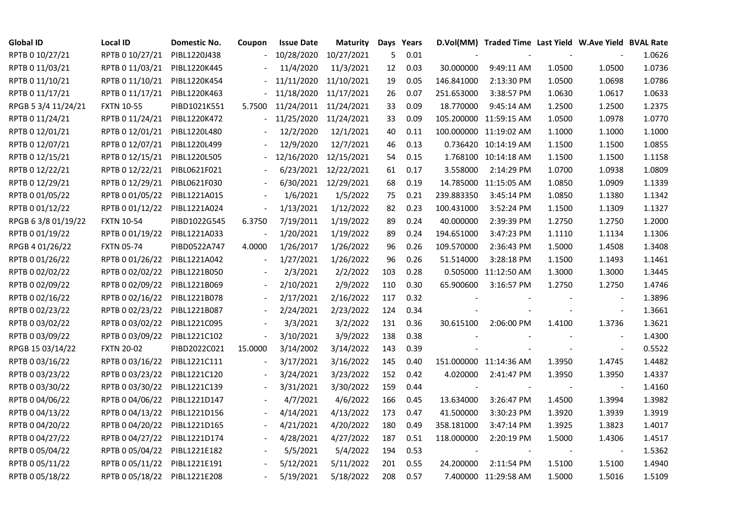| <b>Global ID</b>    | <b>Local ID</b>   | Domestic No. | Coupon                   | <b>Issue Date</b> | Maturity   |     | Days Years |            | D.Vol(MM) Traded Time Last Yield W.Ave Yield BVAL Rate |        |                          |        |
|---------------------|-------------------|--------------|--------------------------|-------------------|------------|-----|------------|------------|--------------------------------------------------------|--------|--------------------------|--------|
| RPTB 0 10/27/21     | RPTB 0 10/27/21   | PIBL1220J438 |                          | 10/28/2020        | 10/27/2021 | 5   | 0.01       |            |                                                        |        |                          | 1.0626 |
| RPTB 0 11/03/21     | RPTB 0 11/03/21   | PIBL1220K445 |                          | 11/4/2020         | 11/3/2021  | 12  | 0.03       | 30.000000  | 9:49:11 AM                                             | 1.0500 | 1.0500                   | 1.0736 |
| RPTB 0 11/10/21     | RPTB 0 11/10/21   | PIBL1220K454 |                          | 11/11/2020        | 11/10/2021 | 19  | 0.05       | 146.841000 | 2:13:30 PM                                             | 1.0500 | 1.0698                   | 1.0786 |
| RPTB 0 11/17/21     | RPTB 0 11/17/21   | PIBL1220K463 |                          | 11/18/2020        | 11/17/2021 | 26  | 0.07       | 251.653000 | 3:38:57 PM                                             | 1.0630 | 1.0617                   | 1.0633 |
| RPGB 5 3/4 11/24/21 | <b>FXTN 10-55</b> | PIBD1021K551 | 5.7500                   | 11/24/2011        | 11/24/2021 | 33  | 0.09       | 18.770000  | 9:45:14 AM                                             | 1.2500 | 1.2500                   | 1.2375 |
| RPTB 0 11/24/21     | RPTB 0 11/24/21   | PIBL1220K472 |                          | 11/25/2020        | 11/24/2021 | 33  | 0.09       |            | 105.200000 11:59:15 AM                                 | 1.0500 | 1.0978                   | 1.0770 |
| RPTB 0 12/01/21     | RPTB 0 12/01/21   | PIBL1220L480 |                          | 12/2/2020         | 12/1/2021  | 40  | 0.11       |            | 100.000000 11:19:02 AM                                 | 1.1000 | 1.1000                   | 1.1000 |
| RPTB 0 12/07/21     | RPTB 0 12/07/21   | PIBL1220L499 |                          | 12/9/2020         | 12/7/2021  | 46  | 0.13       |            | 0.736420 10:14:19 AM                                   | 1.1500 | 1.1500                   | 1.0855 |
| RPTB 0 12/15/21     | RPTB 0 12/15/21   | PIBL1220L505 |                          | 12/16/2020        | 12/15/2021 | 54  | 0.15       |            | 1.768100 10:14:18 AM                                   | 1.1500 | 1.1500                   | 1.1158 |
| RPTB 0 12/22/21     | RPTB 0 12/22/21   | PIBL0621F021 |                          | 6/23/2021         | 12/22/2021 | 61  | 0.17       | 3.558000   | 2:14:29 PM                                             | 1.0700 | 1.0938                   | 1.0809 |
| RPTB 0 12/29/21     | RPTB 0 12/29/21   | PIBL0621F030 | $\blacksquare$           | 6/30/2021         | 12/29/2021 | 68  | 0.19       |            | 14.785000 11:15:05 AM                                  | 1.0850 | 1.0909                   | 1.1339 |
| RPTB 0 01/05/22     | RPTB 0 01/05/22   | PIBL1221A015 |                          | 1/6/2021          | 1/5/2022   | 75  | 0.21       | 239.883350 | 3:45:14 PM                                             | 1.0850 | 1.1380                   | 1.1342 |
| RPTB 0 01/12/22     | RPTB 0 01/12/22   | PIBL1221A024 | $\blacksquare$           | 1/13/2021         | 1/12/2022  | 82  | 0.23       | 100.431000 | 3:52:24 PM                                             | 1.1500 | 1.1309                   | 1.1327 |
| RPGB 63/8 01/19/22  | <b>FXTN 10-54</b> | PIBD1022G545 | 6.3750                   | 7/19/2011         | 1/19/2022  | 89  | 0.24       | 40.000000  | 2:39:39 PM                                             | 1.2750 | 1.2750                   | 1.2000 |
| RPTB 0 01/19/22     | RPTB 0 01/19/22   | PIBL1221A033 | $\overline{\phantom{a}}$ | 1/20/2021         | 1/19/2022  | 89  | 0.24       | 194.651000 | 3:47:23 PM                                             | 1.1110 | 1.1134                   | 1.1306 |
| RPGB 4 01/26/22     | <b>FXTN 05-74</b> | PIBD0522A747 | 4.0000                   | 1/26/2017         | 1/26/2022  | 96  | 0.26       | 109.570000 | 2:36:43 PM                                             | 1.5000 | 1.4508                   | 1.3408 |
| RPTB 0 01/26/22     | RPTB 0 01/26/22   | PIBL1221A042 |                          | 1/27/2021         | 1/26/2022  | 96  | 0.26       | 51.514000  | 3:28:18 PM                                             | 1.1500 | 1.1493                   | 1.1461 |
| RPTB 0 02/02/22     | RPTB 0 02/02/22   | PIBL1221B050 |                          | 2/3/2021          | 2/2/2022   | 103 | 0.28       |            | 0.505000 11:12:50 AM                                   | 1.3000 | 1.3000                   | 1.3445 |
| RPTB 0 02/09/22     | RPTB 0 02/09/22   | PIBL1221B069 |                          | 2/10/2021         | 2/9/2022   | 110 | 0.30       | 65.900600  | 3:16:57 PM                                             | 1.2750 | 1.2750                   | 1.4746 |
| RPTB 0 02/16/22     | RPTB 0 02/16/22   | PIBL1221B078 |                          | 2/17/2021         | 2/16/2022  | 117 | 0.32       |            |                                                        |        | $\overline{\phantom{a}}$ | 1.3896 |
| RPTB 0 02/23/22     | RPTB 0 02/23/22   | PIBL1221B087 | $\overline{\phantom{a}}$ | 2/24/2021         | 2/23/2022  | 124 | 0.34       |            |                                                        |        | $\overline{\phantom{a}}$ | 1.3661 |
| RPTB 0 03/02/22     | RPTB 0 03/02/22   | PIBL1221C095 |                          | 3/3/2021          | 3/2/2022   | 131 | 0.36       | 30.615100  | 2:06:00 PM                                             | 1.4100 | 1.3736                   | 1.3621 |
| RPTB 0 03/09/22     | RPTB 0 03/09/22   | PIBL1221C102 | $\overline{a}$           | 3/10/2021         | 3/9/2022   | 138 | 0.38       |            |                                                        |        |                          | 1.4300 |
| RPGB 15 03/14/22    | <b>FXTN 20-02</b> | PIBD2022C021 | 15.0000                  | 3/14/2002         | 3/14/2022  | 143 | 0.39       |            |                                                        |        | $\blacksquare$           | 0.5522 |
| RPTB 0 03/16/22     | RPTB 0 03/16/22   | PIBL1221C111 | $\overline{\phantom{a}}$ | 3/17/2021         | 3/16/2022  | 145 | 0.40       |            | 151.000000 11:14:36 AM                                 | 1.3950 | 1.4745                   | 1.4482 |
| RPTB 0 03/23/22     | RPTB 0 03/23/22   | PIBL1221C120 |                          | 3/24/2021         | 3/23/2022  | 152 | 0.42       | 4.020000   | 2:41:47 PM                                             | 1.3950 | 1.3950                   | 1.4337 |
| RPTB 0 03/30/22     | RPTB 0 03/30/22   | PIBL1221C139 |                          | 3/31/2021         | 3/30/2022  | 159 | 0.44       |            |                                                        |        | $\overline{\phantom{a}}$ | 1.4160 |
| RPTB 0 04/06/22     | RPTB 0 04/06/22   | PIBL1221D147 |                          | 4/7/2021          | 4/6/2022   | 166 | 0.45       | 13.634000  | 3:26:47 PM                                             | 1.4500 | 1.3994                   | 1.3982 |
| RPTB 0 04/13/22     | RPTB 0 04/13/22   | PIBL1221D156 |                          | 4/14/2021         | 4/13/2022  | 173 | 0.47       | 41.500000  | 3:30:23 PM                                             | 1.3920 | 1.3939                   | 1.3919 |
| RPTB 0 04/20/22     | RPTB 0 04/20/22   | PIBL1221D165 |                          | 4/21/2021         | 4/20/2022  | 180 | 0.49       | 358.181000 | 3:47:14 PM                                             | 1.3925 | 1.3823                   | 1.4017 |
| RPTB 0 04/27/22     | RPTB 0 04/27/22   | PIBL1221D174 |                          | 4/28/2021         | 4/27/2022  | 187 | 0.51       | 118.000000 | 2:20:19 PM                                             | 1.5000 | 1.4306                   | 1.4517 |
| RPTB 0 05/04/22     | RPTB 0 05/04/22   | PIBL1221E182 |                          | 5/5/2021          | 5/4/2022   | 194 | 0.53       |            |                                                        |        |                          | 1.5362 |
| RPTB 0 05/11/22     | RPTB 0 05/11/22   | PIBL1221E191 |                          | 5/12/2021         | 5/11/2022  | 201 | 0.55       | 24.200000  | 2:11:54 PM                                             | 1.5100 | 1.5100                   | 1.4940 |
| RPTB 0 05/18/22     | RPTB 0 05/18/22   | PIBL1221E208 |                          | 5/19/2021         | 5/18/2022  | 208 | 0.57       |            | 7.400000 11:29:58 AM                                   | 1.5000 | 1.5016                   | 1.5109 |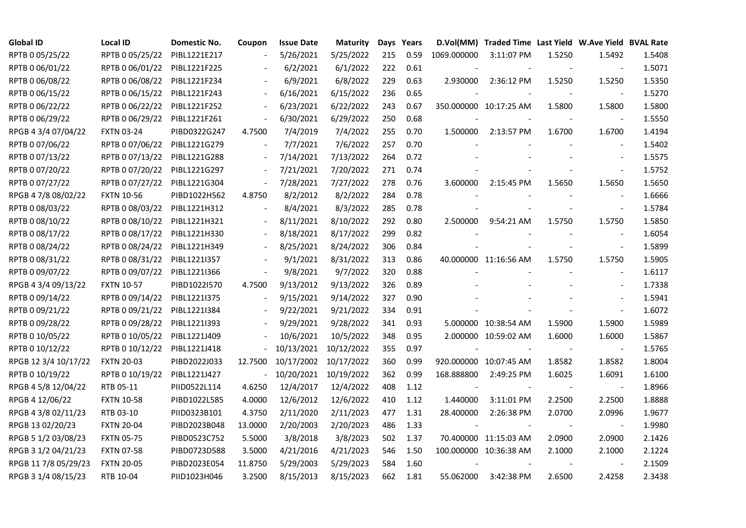| <b>Global ID</b>     | <b>Local ID</b>   | Domestic No. | Coupon                   | <b>Issue Date</b> | Maturity   |     | Days Years |             | D.Vol(MM) Traded Time Last Yield W.Ave Yield BVAL Rate |        |                          |        |
|----------------------|-------------------|--------------|--------------------------|-------------------|------------|-----|------------|-------------|--------------------------------------------------------|--------|--------------------------|--------|
| RPTB 0 05/25/22      | RPTB 0 05/25/22   | PIBL1221E217 |                          | 5/26/2021         | 5/25/2022  | 215 | 0.59       | 1069.000000 | 3:11:07 PM                                             | 1.5250 | 1.5492                   | 1.5408 |
| RPTB 0 06/01/22      | RPTB 0 06/01/22   | PIBL1221F225 |                          | 6/2/2021          | 6/1/2022   | 222 | 0.61       |             |                                                        |        |                          | 1.5071 |
| RPTB 0 06/08/22      | RPTB 0 06/08/22   | PIBL1221F234 |                          | 6/9/2021          | 6/8/2022   | 229 | 0.63       | 2.930000    | 2:36:12 PM                                             | 1.5250 | 1.5250                   | 1.5350 |
| RPTB 0 06/15/22      | RPTB 0 06/15/22   | PIBL1221F243 | $\blacksquare$           | 6/16/2021         | 6/15/2022  | 236 | 0.65       |             |                                                        |        |                          | 1.5270 |
| RPTB 0 06/22/22      | RPTB 0 06/22/22   | PIBL1221F252 | $\blacksquare$           | 6/23/2021         | 6/22/2022  | 243 | 0.67       |             | 350.000000 10:17:25 AM                                 | 1.5800 | 1.5800                   | 1.5800 |
| RPTB 0 06/29/22      | RPTB 0 06/29/22   | PIBL1221F261 | $\blacksquare$           | 6/30/2021         | 6/29/2022  | 250 | 0.68       |             |                                                        |        |                          | 1.5550 |
| RPGB 4 3/4 07/04/22  | <b>FXTN 03-24</b> | PIBD0322G247 | 4.7500                   | 7/4/2019          | 7/4/2022   | 255 | 0.70       | 1.500000    | 2:13:57 PM                                             | 1.6700 | 1.6700                   | 1.4194 |
| RPTB 0 07/06/22      | RPTB 0 07/06/22   | PIBL1221G279 |                          | 7/7/2021          | 7/6/2022   | 257 | 0.70       |             |                                                        |        |                          | 1.5402 |
| RPTB 0 07/13/22      | RPTB 0 07/13/22   | PIBL1221G288 | $\overline{\phantom{a}}$ | 7/14/2021         | 7/13/2022  | 264 | 0.72       |             |                                                        |        |                          | 1.5575 |
| RPTB 0 07/20/22      | RPTB 0 07/20/22   | PIBL1221G297 | $\overline{\phantom{a}}$ | 7/21/2021         | 7/20/2022  | 271 | 0.74       |             |                                                        |        | $\overline{\phantom{a}}$ | 1.5752 |
| RPTB 0 07/27/22      | RPTB 0 07/27/22   | PIBL1221G304 | $\blacksquare$           | 7/28/2021         | 7/27/2022  | 278 | 0.76       | 3.600000    | 2:15:45 PM                                             | 1.5650 | 1.5650                   | 1.5650 |
| RPGB 4 7/8 08/02/22  | <b>FXTN 10-56</b> | PIBD1022H562 | 4.8750                   | 8/2/2012          | 8/2/2022   | 284 | 0.78       |             |                                                        |        |                          | 1.6666 |
| RPTB 0 08/03/22      | RPTB 0 08/03/22   | PIBL1221H312 |                          | 8/4/2021          | 8/3/2022   | 285 | 0.78       |             |                                                        |        | $\overline{\phantom{a}}$ | 1.5784 |
| RPTB 0 08/10/22      | RPTB 0 08/10/22   | PIBL1221H321 | $\overline{\phantom{a}}$ | 8/11/2021         | 8/10/2022  | 292 | 0.80       |             | 2.500000 9:54:21 AM                                    | 1.5750 | 1.5750                   | 1.5850 |
| RPTB 0 08/17/22      | RPTB 0 08/17/22   | PIBL1221H330 |                          | 8/18/2021         | 8/17/2022  | 299 | 0.82       |             |                                                        |        |                          | 1.6054 |
| RPTB 0 08/24/22      | RPTB 0 08/24/22   | PIBL1221H349 |                          | 8/25/2021         | 8/24/2022  | 306 | 0.84       |             |                                                        |        |                          | 1.5899 |
| RPTB 0 08/31/22      | RPTB 0 08/31/22   | PIBL1221I357 | $\overline{\phantom{a}}$ | 9/1/2021          | 8/31/2022  | 313 | 0.86       |             | 40.000000 11:16:56 AM                                  | 1.5750 | 1.5750                   | 1.5905 |
| RPTB 0 09/07/22      | RPTB 0 09/07/22   | PIBL1221I366 | $\blacksquare$           | 9/8/2021          | 9/7/2022   | 320 | 0.88       |             |                                                        |        | $\blacksquare$           | 1.6117 |
| RPGB 4 3/4 09/13/22  | <b>FXTN 10-57</b> | PIBD1022I570 | 4.7500                   | 9/13/2012         | 9/13/2022  | 326 | 0.89       |             |                                                        |        |                          | 1.7338 |
| RPTB 0 09/14/22      | RPTB 0 09/14/22   | PIBL1221I375 |                          | 9/15/2021         | 9/14/2022  | 327 | 0.90       |             |                                                        |        | $\sim$                   | 1.5941 |
| RPTB 0 09/21/22      | RPTB 0 09/21/22   | PIBL1221I384 | $\blacksquare$           | 9/22/2021         | 9/21/2022  | 334 | 0.91       |             |                                                        |        | $\sim$                   | 1.6072 |
| RPTB 0 09/28/22      | RPTB 0 09/28/22   | PIBL1221I393 |                          | 9/29/2021         | 9/28/2022  | 341 | 0.93       |             | 5.000000 10:38:54 AM                                   | 1.5900 | 1.5900                   | 1.5989 |
| RPTB 0 10/05/22      | RPTB 0 10/05/22   | PIBL1221J409 |                          | 10/6/2021         | 10/5/2022  | 348 | 0.95       |             | 2.000000 10:59:02 AM                                   | 1.6000 | 1.6000                   | 1.5867 |
| RPTB 0 10/12/22      | RPTB 0 10/12/22   | PIBL1221J418 |                          | 10/13/2021        | 10/12/2022 | 355 | 0.97       |             |                                                        |        |                          | 1.5765 |
| RPGB 12 3/4 10/17/22 | <b>FXTN 20-03</b> | PIBD2022J033 | 12.7500                  | 10/17/2002        | 10/17/2022 | 360 | 0.99       |             | 920.000000 10:07:45 AM                                 | 1.8582 | 1.8582                   | 1.8004 |
| RPTB 0 10/19/22      | RPTB 0 10/19/22   | PIBL1221J427 | $\overline{\phantom{0}}$ | 10/20/2021        | 10/19/2022 | 362 | 0.99       | 168.888800  | 2:49:25 PM                                             | 1.6025 | 1.6091                   | 1.6100 |
| RPGB 4 5/8 12/04/22  | RTB 05-11         | PIID0522L114 | 4.6250                   | 12/4/2017         | 12/4/2022  | 408 | 1.12       |             |                                                        |        | $\overline{\phantom{a}}$ | 1.8966 |
| RPGB 4 12/06/22      | <b>FXTN 10-58</b> | PIBD1022L585 | 4.0000                   | 12/6/2012         | 12/6/2022  | 410 | 1.12       | 1.440000    | 3:11:01 PM                                             | 2.2500 | 2.2500                   | 1.8888 |
| RPGB 4 3/8 02/11/23  | RTB 03-10         | PIID0323B101 | 4.3750                   | 2/11/2020         | 2/11/2023  | 477 | 1.31       | 28.400000   | 2:26:38 PM                                             | 2.0700 | 2.0996                   | 1.9677 |
| RPGB 13 02/20/23     | <b>FXTN 20-04</b> | PIBD2023B048 | 13.0000                  | 2/20/2003         | 2/20/2023  | 486 | 1.33       |             |                                                        |        |                          | 1.9980 |
| RPGB 5 1/2 03/08/23  | <b>FXTN 05-75</b> | PIBD0523C752 | 5.5000                   | 3/8/2018          | 3/8/2023   | 502 | 1.37       |             | 70.400000 11:15:03 AM                                  | 2.0900 | 2.0900                   | 2.1426 |
| RPGB 3 1/2 04/21/23  | <b>FXTN 07-58</b> | PIBD0723D588 | 3.5000                   | 4/21/2016         | 4/21/2023  | 546 | 1.50       |             | 100.000000 10:36:38 AM                                 | 2.1000 | 2.1000                   | 2.1224 |
| RPGB 11 7/8 05/29/23 | <b>FXTN 20-05</b> | PIBD2023E054 | 11.8750                  | 5/29/2003         | 5/29/2023  | 584 | 1.60       |             |                                                        |        |                          | 2.1509 |
| RPGB 3 1/4 08/15/23  | RTB 10-04         | PIID1023H046 | 3.2500                   | 8/15/2013         | 8/15/2023  | 662 | 1.81       | 55.062000   | 3:42:38 PM                                             | 2.6500 | 2.4258                   | 2.3438 |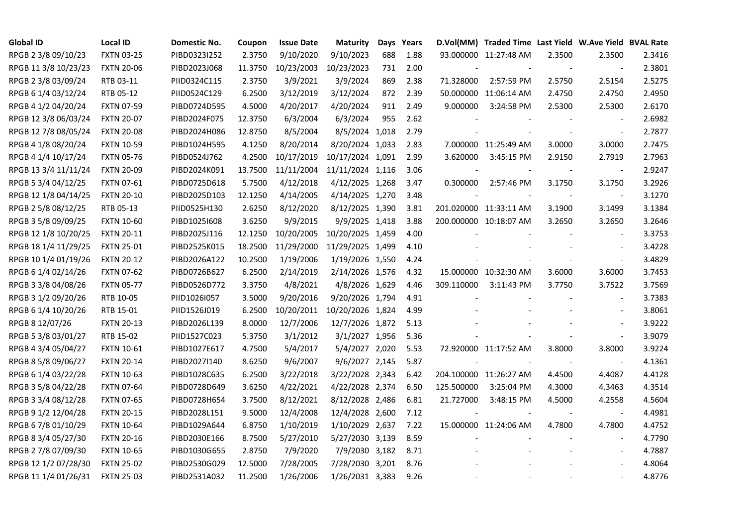| <b>Global ID</b>     | <b>Local ID</b>   | Domestic No. | Coupon  | <b>Issue Date</b> | <b>Maturity</b>  |     | Days Years |            | D.Vol(MM) Traded Time Last Yield W.Ave Yield BVAL Rate |        |                          |        |
|----------------------|-------------------|--------------|---------|-------------------|------------------|-----|------------|------------|--------------------------------------------------------|--------|--------------------------|--------|
| RPGB 2 3/8 09/10/23  | <b>FXTN 03-25</b> | PIBD0323I252 | 2.3750  | 9/10/2020         | 9/10/2023        | 688 | 1.88       |            | 93.000000 11:27:48 AM                                  | 2.3500 | 2.3500                   | 2.3416 |
| RPGB 11 3/8 10/23/23 | <b>FXTN 20-06</b> | PIBD2023J068 | 11.3750 | 10/23/2003        | 10/23/2023       | 731 | 2.00       |            |                                                        |        | $\blacksquare$           | 2.3801 |
| RPGB 2 3/8 03/09/24  | RTB 03-11         | PIID0324C115 | 2.3750  | 3/9/2021          | 3/9/2024         | 869 | 2.38       | 71.328000  | 2:57:59 PM                                             | 2.5750 | 2.5154                   | 2.5275 |
| RPGB 6 1/4 03/12/24  | RTB 05-12         | PIID0524C129 | 6.2500  | 3/12/2019         | 3/12/2024        | 872 | 2.39       |            | 50.000000 11:06:14 AM                                  | 2.4750 | 2.4750                   | 2.4950 |
| RPGB 4 1/2 04/20/24  | <b>FXTN 07-59</b> | PIBD0724D595 | 4.5000  | 4/20/2017         | 4/20/2024        | 911 | 2.49       | 9.000000   | 3:24:58 PM                                             | 2.5300 | 2.5300                   | 2.6170 |
| RPGB 12 3/8 06/03/24 | <b>FXTN 20-07</b> | PIBD2024F075 | 12.3750 | 6/3/2004          | 6/3/2024         | 955 | 2.62       |            |                                                        |        | $\sim$                   | 2.6982 |
| RPGB 12 7/8 08/05/24 | <b>FXTN 20-08</b> | PIBD2024H086 | 12.8750 | 8/5/2004          | 8/5/2024 1,018   |     | 2.79       |            | $\blacksquare$                                         |        | $\blacksquare$           | 2.7877 |
| RPGB 4 1/8 08/20/24  | <b>FXTN 10-59</b> | PIBD1024H595 | 4.1250  | 8/20/2014         | 8/20/2024 1,033  |     | 2.83       |            | 7.000000 11:25:49 AM                                   | 3.0000 | 3.0000                   | 2.7475 |
| RPGB 4 1/4 10/17/24  | <b>FXTN 05-76</b> | PIBD0524J762 | 4.2500  | 10/17/2019        | 10/17/2024 1,091 |     | 2.99       | 3.620000   | 3:45:15 PM                                             | 2.9150 | 2.7919                   | 2.7963 |
| RPGB 13 3/4 11/11/24 | <b>FXTN 20-09</b> | PIBD2024K091 | 13.7500 | 11/11/2004        | 11/11/2024 1,116 |     | 3.06       |            |                                                        | $\sim$ | $\overline{\phantom{a}}$ | 2.9247 |
| RPGB 5 3/4 04/12/25  | FXTN 07-61        | PIBD0725D618 | 5.7500  | 4/12/2018         | 4/12/2025 1,268  |     | 3.47       | 0.300000   | 2:57:46 PM                                             | 3.1750 | 3.1750                   | 3.2926 |
| RPGB 12 1/8 04/14/25 | <b>FXTN 20-10</b> | PIBD2025D103 | 12.1250 | 4/14/2005         | 4/14/2025 1,270  |     | 3.48       |            |                                                        |        | $\blacksquare$           | 3.1270 |
| RPGB 2 5/8 08/12/25  | RTB 05-13         | PIID0525H130 | 2.6250  | 8/12/2020         | 8/12/2025 1,390  |     | 3.81       |            | 201.020000 11:33:11 AM                                 | 3.1900 | 3.1499                   | 3.1384 |
| RPGB 3 5/8 09/09/25  | <b>FXTN 10-60</b> | PIBD10251608 | 3.6250  | 9/9/2015          | 9/9/2025 1,418   |     | 3.88       |            | 200.000000 10:18:07 AM                                 | 3.2650 | 3.2650                   | 3.2646 |
| RPGB 12 1/8 10/20/25 | <b>FXTN 20-11</b> | PIBD2025J116 | 12.1250 | 10/20/2005        | 10/20/2025 1,459 |     | 4.00       |            |                                                        |        |                          | 3.3753 |
| RPGB 18 1/4 11/29/25 | <b>FXTN 25-01</b> | PIBD2525K015 | 18.2500 | 11/29/2000        | 11/29/2025 1,499 |     | 4.10       |            |                                                        |        |                          | 3.4228 |
| RPGB 10 1/4 01/19/26 | <b>FXTN 20-12</b> | PIBD2026A122 | 10.2500 | 1/19/2006         | 1/19/2026 1,550  |     | 4.24       |            |                                                        |        | $\overline{\phantom{a}}$ | 3.4829 |
| RPGB 6 1/4 02/14/26  | <b>FXTN 07-62</b> | PIBD0726B627 | 6.2500  | 2/14/2019         | 2/14/2026 1,576  |     | 4.32       |            | 15.000000 10:32:30 AM                                  | 3.6000 | 3.6000                   | 3.7453 |
| RPGB 3 3/8 04/08/26  | <b>FXTN 05-77</b> | PIBD0526D772 | 3.3750  | 4/8/2021          | 4/8/2026 1,629   |     | 4.46       | 309.110000 | 3:11:43 PM                                             | 3.7750 | 3.7522                   | 3.7569 |
| RPGB 3 1/2 09/20/26  | RTB 10-05         | PIID1026I057 | 3.5000  | 9/20/2016         | 9/20/2026 1,794  |     | 4.91       |            |                                                        |        | $\overline{\phantom{a}}$ | 3.7383 |
| RPGB 6 1/4 10/20/26  | RTB 15-01         | PIID1526J019 | 6.2500  | 10/20/2011        | 10/20/2026 1,824 |     | 4.99       |            |                                                        |        |                          | 3.8061 |
| RPGB 8 12/07/26      | <b>FXTN 20-13</b> | PIBD2026L139 | 8.0000  | 12/7/2006         | 12/7/2026 1,872  |     | 5.13       |            |                                                        |        |                          | 3.9222 |
| RPGB 5 3/8 03/01/27  | RTB 15-02         | PIID1527C023 | 5.3750  | 3/1/2012          | 3/1/2027 1,956   |     | 5.36       |            |                                                        |        |                          | 3.9079 |
| RPGB 4 3/4 05/04/27  | <b>FXTN 10-61</b> | PIBD1027E617 | 4.7500  | 5/4/2017          | 5/4/2027 2,020   |     | 5.53       |            | 72.920000 11:17:52 AM                                  | 3.8000 | 3.8000                   | 3.9224 |
| RPGB 8 5/8 09/06/27  | <b>FXTN 20-14</b> | PIBD2027I140 | 8.6250  | 9/6/2007          | 9/6/2027 2,145   |     | 5.87       |            |                                                        | $\sim$ | $\blacksquare$           | 4.1361 |
| RPGB 6 1/4 03/22/28  | <b>FXTN 10-63</b> | PIBD1028C635 | 6.2500  | 3/22/2018         | 3/22/2028 2,343  |     | 6.42       |            | 204.100000 11:26:27 AM                                 | 4.4500 | 4.4087                   | 4.4128 |
| RPGB 3 5/8 04/22/28  | <b>FXTN 07-64</b> | PIBD0728D649 | 3.6250  | 4/22/2021         | 4/22/2028 2,374  |     | 6.50       | 125.500000 | 3:25:04 PM                                             | 4.3000 | 4.3463                   | 4.3514 |
| RPGB 3 3/4 08/12/28  | <b>FXTN 07-65</b> | PIBD0728H654 | 3.7500  | 8/12/2021         | 8/12/2028 2,486  |     | 6.81       | 21.727000  | 3:48:15 PM                                             | 4.5000 | 4.2558                   | 4.5604 |
| RPGB 9 1/2 12/04/28  | <b>FXTN 20-15</b> | PIBD2028L151 | 9.5000  | 12/4/2008         | 12/4/2028 2,600  |     | 7.12       |            |                                                        |        | $\overline{\phantom{a}}$ | 4.4981 |
| RPGB 67/8 01/10/29   | <b>FXTN 10-64</b> | PIBD1029A644 | 6.8750  | 1/10/2019         | 1/10/2029 2,637  |     | 7.22       |            | 15.000000 11:24:06 AM                                  | 4.7800 | 4.7800                   | 4.4752 |
| RPGB 8 3/4 05/27/30  | <b>FXTN 20-16</b> | PIBD2030E166 | 8.7500  | 5/27/2010         | 5/27/2030 3,139  |     | 8.59       |            |                                                        |        |                          | 4.7790 |
| RPGB 2 7/8 07/09/30  | <b>FXTN 10-65</b> | PIBD1030G655 | 2.8750  | 7/9/2020          | 7/9/2030 3,182   |     | 8.71       |            |                                                        |        | $\blacksquare$           | 4.7887 |
| RPGB 12 1/2 07/28/30 | <b>FXTN 25-02</b> | PIBD2530G029 | 12.5000 | 7/28/2005         | 7/28/2030 3,201  |     | 8.76       |            |                                                        |        |                          | 4.8064 |
| RPGB 11 1/4 01/26/31 | <b>FXTN 25-03</b> | PIBD2531A032 | 11.2500 | 1/26/2006         | 1/26/2031 3,383  |     | 9.26       |            |                                                        |        | $\blacksquare$           | 4.8776 |